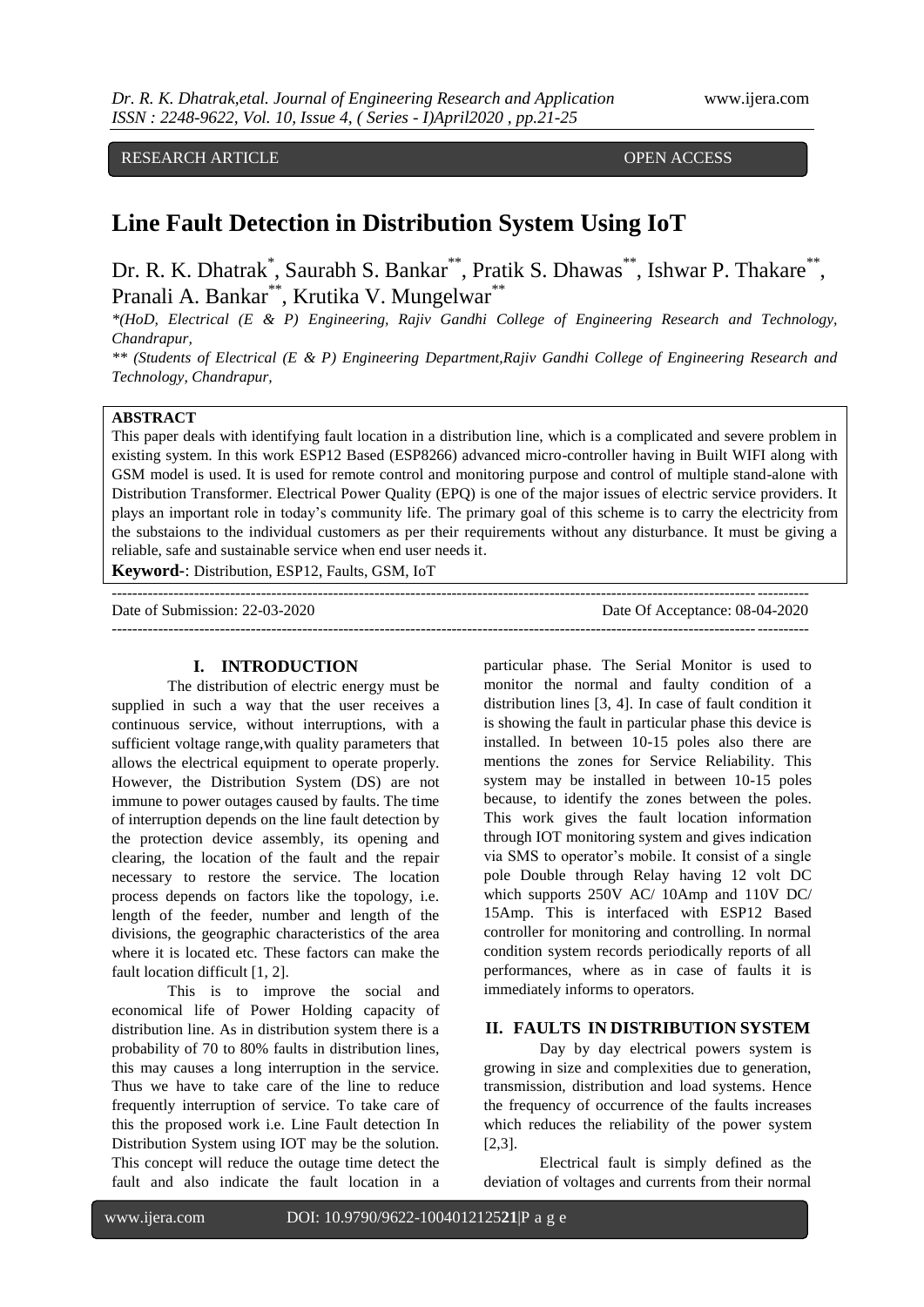RESEARCH ARTICLE OPEN ACCESS

# **Line Fault Detection in Distribution System Using IoT**

Dr. R. K. Dhatrak<sup>\*</sup>, Saurabh S. Bankar<sup>\*\*</sup>, Pratik S. Dhawas<sup>\*\*</sup>, Ishwar P. Thakare<sup>\*\*</sup>, Pranali A. Bankar\*\*, Krutika V. Mungelwar\*

*\*(HoD, Electrical (E & P) Engineering, Rajiv Gandhi College of Engineering Research and Technology, Chandrapur,*

*\*\* (Students of Electrical (E & P) Engineering Department,Rajiv Gandhi College of Engineering Research and Technology, Chandrapur,*

# **ABSTRACT**

This paper deals with identifying fault location in a distribution line, which is a complicated and severe problem in existing system. In this work ESP12 Based (ESP8266) advanced micro-controller having in Built WIFI along with GSM model is used. It is used for remote control and monitoring purpose and control of multiple stand-alone with Distribution Transformer. Electrical Power Quality (EPQ) is one of the major issues of electric service providers. It plays an important role in today's community life. The primary goal of this scheme is to carry the electricity from the substaions to the individual customers as per their requirements without any disturbance. It must be giving a reliable, safe and sustainable service when end user needs it.

**Keyword-**: Distribution, ESP12, Faults, GSM, IoT

Date of Submission: 22-03-2020 Date Of Acceptance: 08-04-2020 ---------------------------------------------------------------------------------------------------------------------------------------

---------------------------------------------------------------------------------------------------------------------------------------

#### **I. INTRODUCTION**

The distribution of electric energy must be supplied in such a way that the user receives a continuous service, without interruptions, with a sufficient voltage range,with quality parameters that allows the electrical equipment to operate properly. However, the Distribution System (DS) are not immune to power outages caused by faults. The time of interruption depends on the line fault detection by the protection device assembly, its opening and clearing, the location of the fault and the repair necessary to restore the service. The location process depends on factors like the topology, i.e. length of the feeder, number and length of the divisions, the geographic characteristics of the area where it is located etc. These factors can make the fault location difficult [1, 2].

This is to improve the social and economical life of Power Holding capacity of distribution line. As in distribution system there is a probability of 70 to 80% faults in distribution lines, this may causes a long interruption in the service. Thus we have to take care of the line to reduce frequently interruption of service. To take care of this the proposed work i.e. Line Fault detection In Distribution System using IOT may be the solution. This concept will reduce the outage time detect the fault and also indicate the fault location in a particular phase. The Serial Monitor is used to monitor the normal and faulty condition of a distribution lines [3, 4]. In case of fault condition it is showing the fault in particular phase this device is installed. In between 10-15 poles also there are mentions the zones for Service Reliability. This system may be installed in between 10-15 poles because, to identify the zones between the poles. This work gives the fault location information through IOT monitoring system and gives indication via SMS to operator's mobile. It consist of a single pole Double through Relay having 12 volt DC which supports 250V AC/ 10Amp and 110V DC/ 15Amp. This is interfaced with ESP12 Based controller for monitoring and controlling. In normal condition system records periodically reports of all performances, where as in case of faults it is immediately informs to operators.

# **II. FAULTS IN DISTRIBUTION SYSTEM**

Day by day electrical powers system is growing in size and complexities due to generation, transmission, distribution and load systems. Hence the frequency of occurrence of the faults increases which reduces the reliability of the power system [2,3].

Electrical fault is simply defined as the deviation of voltages and currents from their normal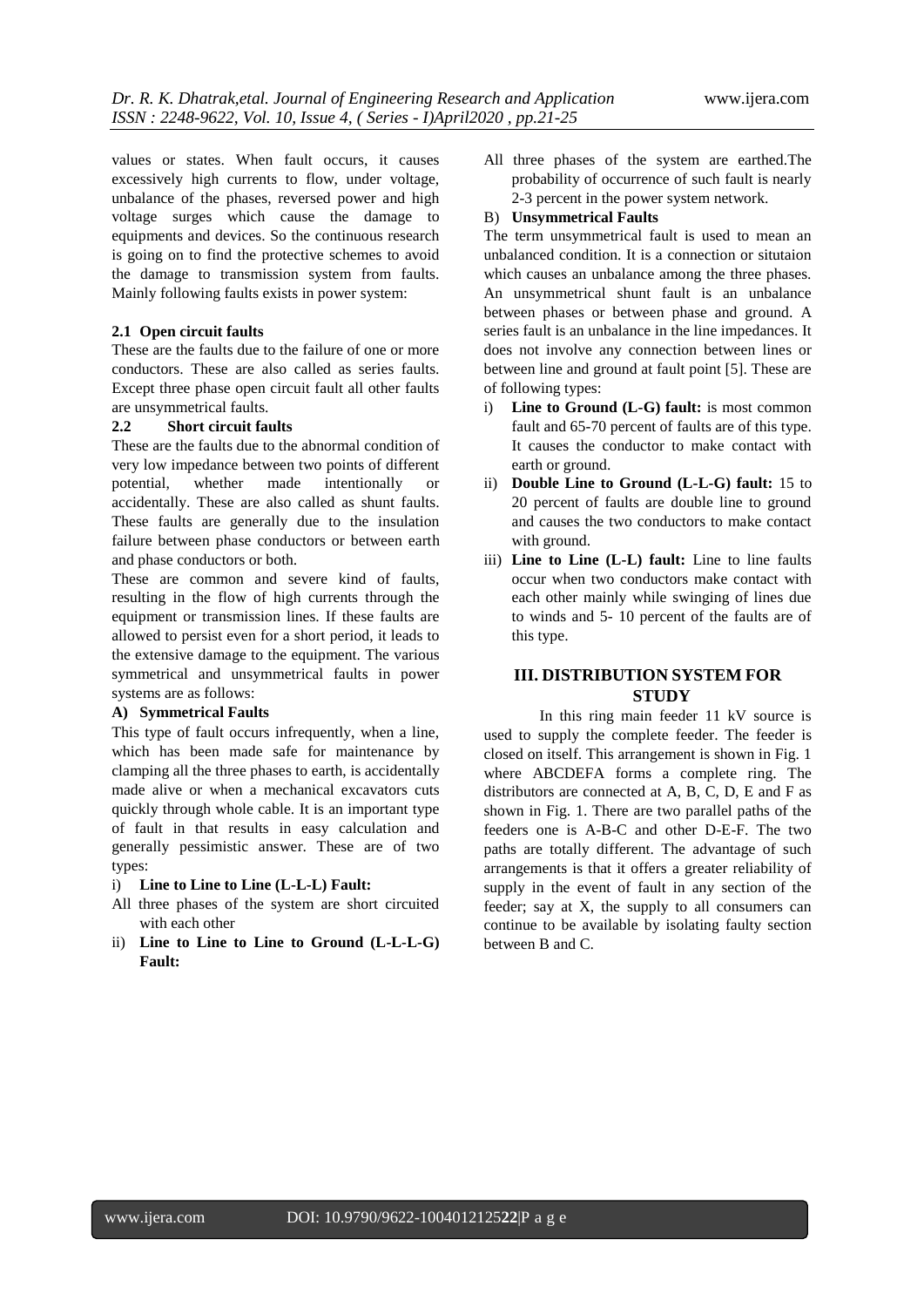values or states. When fault occurs, it causes excessively high currents to flow, under voltage, unbalance of the phases, reversed power and high voltage surges which cause the damage to equipments and devices. So the continuous research is going on to find the protective schemes to avoid the damage to transmission system from faults. Mainly following faults exists in power system:

### **2.1 Open circuit faults**

These are the faults due to the failure of one or more conductors. These are also called as series faults. Except three phase open circuit fault all other faults are unsymmetrical faults.

#### **2.2 Short circuit faults**

These are the faults due to the abnormal condition of very low impedance between two points of different potential, whether made intentionally or accidentally. These are also called as shunt faults. These faults are generally due to the insulation failure between phase conductors or between earth and phase conductors or both.

These are common and severe kind of faults, resulting in the flow of high currents through the equipment or transmission lines. If these faults are allowed to persist even for a short period, it leads to the extensive damage to the equipment. The various symmetrical and unsymmetrical faults in power systems are as follows:

#### **A) Symmetrical Faults**

This type of fault occurs infrequently, when a line, which has been made safe for maintenance by clamping all the three phases to earth, is accidentally made alive or when a mechanical excavators cuts quickly through whole cable. It is an important type of fault in that results in easy calculation and generally pessimistic answer. These are of two types:

- i) **Line to Line to Line (L-L-L) Fault:**
- All three phases of the system are short circuited with each other
- ii) **Line to Line to Line to Ground (L-L-L-G) Fault:**

All three phases of the system are earthed.The probability of occurrence of such fault is nearly 2-3 percent in the power system network.

#### B) **Unsymmetrical Faults**

The term unsymmetrical fault is used to mean an unbalanced condition. It is a connection or situtaion which causes an unbalance among the three phases. An unsymmetrical shunt fault is an unbalance between phases or between phase and ground. A series fault is an unbalance in the line impedances. It does not involve any connection between lines or between line and ground at fault point [5]. These are of following types:

- i) **Line to Ground (L-G) fault:** is most common fault and 65-70 percent of faults are of this type. It causes the conductor to make contact with earth or ground.
- ii) **Double Line to Ground (L-L-G) fault:** 15 to 20 percent of faults are double line to ground and causes the two conductors to make contact with ground.
- iii) **Line to Line (L-L) fault:** Line to line faults occur when two conductors make contact with each other mainly while swinging of lines due to winds and 5- 10 percent of the faults are of this type.

# **III. DISTRIBUTION SYSTEM FOR STUDY**

In this ring main feeder 11 kV source is used to supply the complete feeder. The feeder is closed on itself. This arrangement is shown in Fig. 1 where ABCDEFA forms a complete ring. The distributors are connected at A, B, C, D, E and F as shown in Fig. 1. There are two parallel paths of the feeders one is A-B-C and other D-E-F. The two paths are totally different. The advantage of such arrangements is that it offers a greater reliability of supply in the event of fault in any section of the feeder; say at X, the supply to all consumers can continue to be available by isolating faulty section between B and C.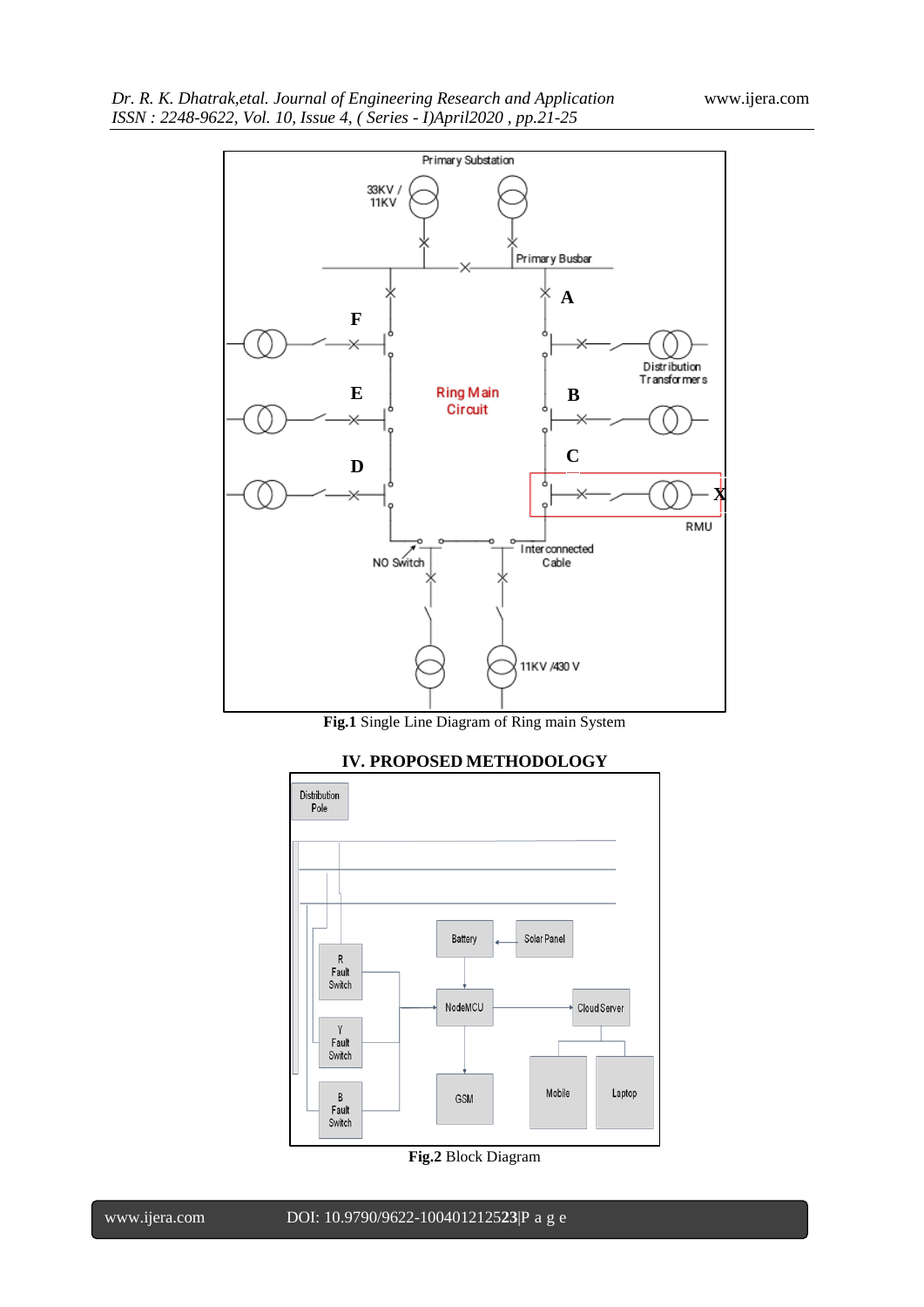

**Fig.1** Single Line Diagram of Ring main System



# **IV. PROPOSED METHODOLOGY**

**Fig.2** Block Diagram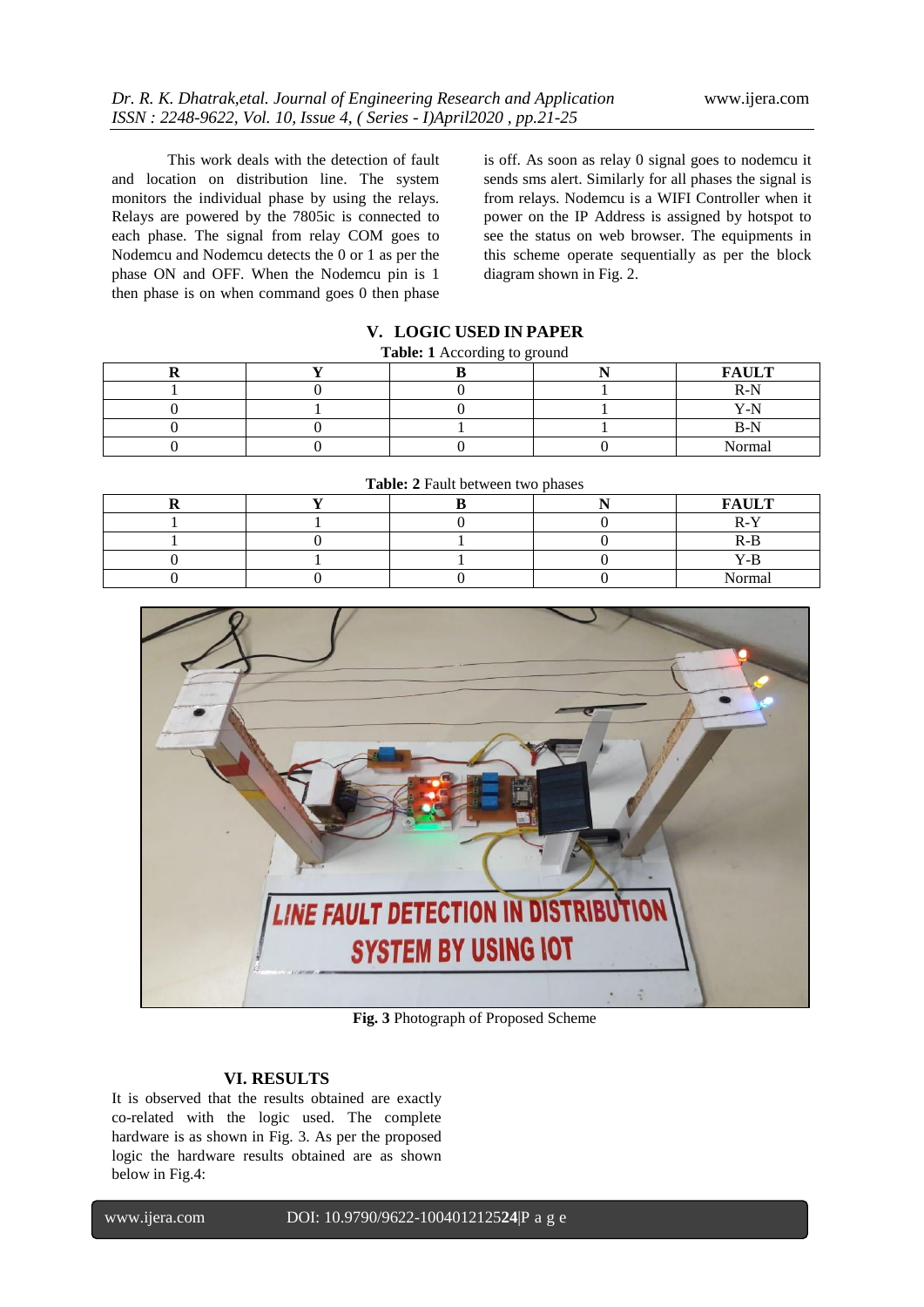This work deals with the detection of fault and location on distribution line. The system monitors the individual phase by using the relays. Relays are powered by the 7805ic is connected to each phase. The signal from relay COM goes to Nodemcu and Nodemcu detects the 0 or 1 as per the phase ON and OFF. When the Nodemcu pin is 1 then phase is on when command goes 0 then phase

is off. As soon as relay 0 signal goes to nodemcu it sends sms alert. Similarly for all phases the signal is from relays. Nodemcu is a WIFI Controller when it power on the IP Address is assigned by hotspot to see the status on web browser. The equipments in this scheme operate sequentially as per the block diagram shown in Fig. 2.

# **V. LOGIC USED IN PAPER**

#### **Table: 1** According to ground

|  |  | <b>FAULT</b> |
|--|--|--------------|
|  |  | $R-N$        |
|  |  | $V_N$        |
|  |  |              |
|  |  | Normal       |

| Table: 2 Fault between two phases |  |  |  |              |  |  |
|-----------------------------------|--|--|--|--------------|--|--|
|                                   |  |  |  | <b>FAULT</b> |  |  |
|                                   |  |  |  |              |  |  |
|                                   |  |  |  | R-B          |  |  |
|                                   |  |  |  |              |  |  |
|                                   |  |  |  | Normal       |  |  |

LINE FAULT DETECTION IN DISTRIBUTION **SYSTEM BY USING IOT**  $\frac{1}{2}$ 

**Fig. 3** Photograph of Proposed Scheme

## **VI. RESULTS**

It is observed that the results obtained are exactly co-related with the logic used. The complete hardware is as shown in Fig. 3. As per the proposed logic the hardware results obtained are as shown below in Fig.4: